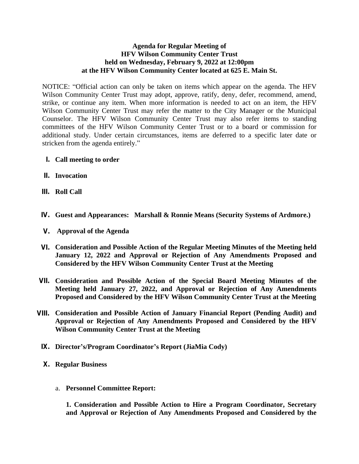## **Agenda for Regular Meeting of HFV Wilson Community Center Trust held on Wednesday, February 9, 2022 at 12:00pm at the HFV Wilson Community Center located at 625 E. Main St.**

NOTICE: "Official action can only be taken on items which appear on the agenda. The HFV Wilson Community Center Trust may adopt, approve, ratify, deny, defer, recommend, amend, strike, or continue any item. When more information is needed to act on an item, the HFV Wilson Community Center Trust may refer the matter to the City Manager or the Municipal Counselor. The HFV Wilson Community Center Trust may also refer items to standing committees of the HFV Wilson Community Center Trust or to a board or commission for additional study. Under certain circumstances, items are deferred to a specific later date or stricken from the agenda entirely."

- **I. Call meeting to order**
- **II. Invocation**
- **III. Roll Call**
- **IV. Guest and Appearances: Marshall & Ronnie Means (Security Systems of Ardmore.)**
- **V. Approval of the Agenda**
- **VI. Consideration and Possible Action of the Regular Meeting Minutes of the Meeting held January 12, 2022 and Approval or Rejection of Any Amendments Proposed and Considered by the HFV Wilson Community Center Trust at the Meeting**
- **VII. Consideration and Possible Action of the Special Board Meeting Minutes of the Meeting held January 27, 2022, and Approval or Rejection of Any Amendments Proposed and Considered by the HFV Wilson Community Center Trust at the Meeting**
- **VIII. Consideration and Possible Action of January Financial Report (Pending Audit) and Approval or Rejection of Any Amendments Proposed and Considered by the HFV Wilson Community Center Trust at the Meeting**
- **IX. Director's/Program Coordinator's Report (JiaMia Cody)**
- **X. Regular Business**
	- a. **Personnel Committee Report:**

**1. Consideration and Possible Action to Hire a Program Coordinator, Secretary and Approval or Rejection of Any Amendments Proposed and Considered by the**